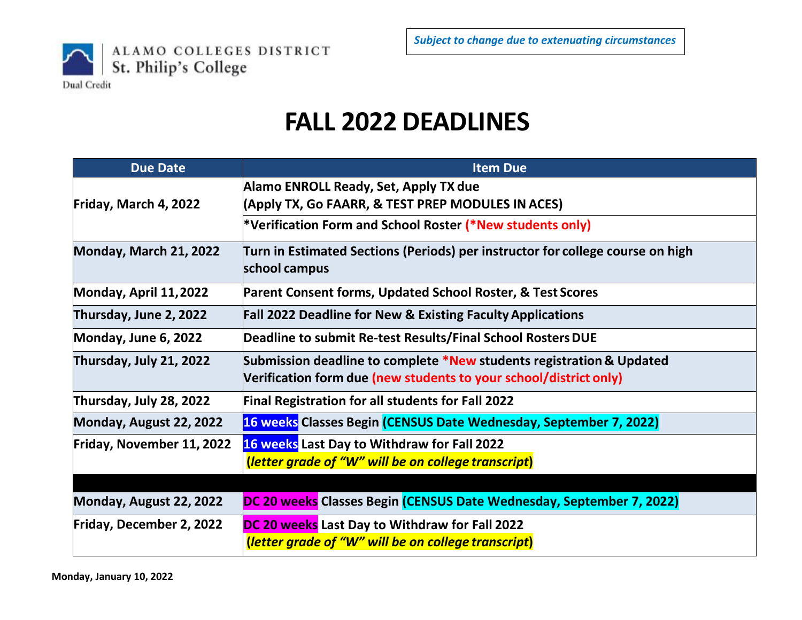

## **FALL 2022 DEADLINES**

| <b>Due Date</b>           | <b>Item Due</b>                                                                                 |
|---------------------------|-------------------------------------------------------------------------------------------------|
|                           | Alamo ENROLL Ready, Set, Apply TX due                                                           |
| Friday, March 4, 2022     | (Apply TX, Go FAARR, & TEST PREP MODULES IN ACES)                                               |
|                           | *Verification Form and School Roster (*New students only)                                       |
| Monday, March 21, 2022    | Turn in Estimated Sections (Periods) per instructor for college course on high<br>school campus |
| Monday, April 11, 2022    | Parent Consent forms, Updated School Roster, & Test Scores                                      |
| Thursday, June 2, 2022    | <b>Fall 2022 Deadline for New &amp; Existing Faculty Applications</b>                           |
| Monday, June 6, 2022      | Deadline to submit Re-test Results/Final School Rosters DUE                                     |
| Thursday, July 21, 2022   | Submission deadline to complete *New students registration & Updated                            |
|                           | Verification form due (new students to your school/district only)                               |
| Thursday, July 28, 2022   | <b>Final Registration for all students for Fall 2022</b>                                        |
| Monday, August 22, 2022   | 16 weeks Classes Begin (CENSUS Date Wednesday, September 7, 2022)                               |
| Friday, November 11, 2022 | 16 weeks Last Day to Withdraw for Fall 2022                                                     |
|                           | (letter grade of "W" will be on college transcript)                                             |
|                           |                                                                                                 |
| Monday, August 22, 2022   | DC 20 weeks Classes Begin (CENSUS Date Wednesday, September 7, 2022)                            |
| Friday, December 2, 2022  | DC 20 weeks Last Day to Withdraw for Fall 2022                                                  |
|                           | (letter grade of "W" will be on college transcript)                                             |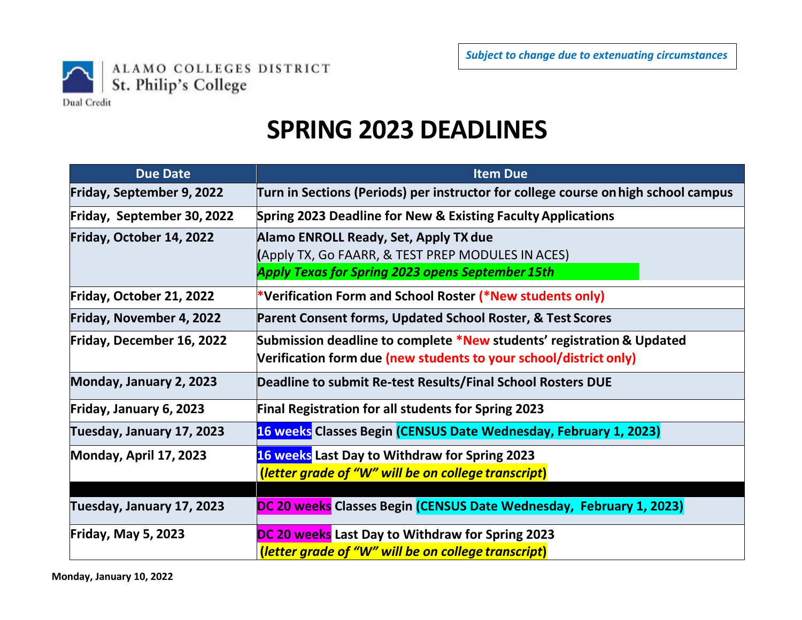

## **SPRING 2023 DEADLINES**

| <b>Due Date</b>            | <b>Item Due</b>                                                                                                                                       |
|----------------------------|-------------------------------------------------------------------------------------------------------------------------------------------------------|
| Friday, September 9, 2022  | Turn in Sections (Periods) per instructor for college course on high school campus                                                                    |
| Friday, September 30, 2022 | Spring 2023 Deadline for New & Existing Faculty Applications                                                                                          |
| Friday, October 14, 2022   | Alamo ENROLL Ready, Set, Apply TX due<br>(Apply TX, Go FAARR, & TEST PREP MODULES IN ACES)<br><b>Apply Texas for Spring 2023 opens September 15th</b> |
| Friday, October 21, 2022   | *Verification Form and School Roster (*New students only)                                                                                             |
| Friday, November 4, 2022   | Parent Consent forms, Updated School Roster, & Test Scores                                                                                            |
| Friday, December 16, 2022  | Submission deadline to complete *New students' registration & Updated<br>Verification form due (new students to your school/district only)            |
| Monday, January 2, 2023    | Deadline to submit Re-test Results/Final School Rosters DUE                                                                                           |
| Friday, January 6, 2023    | <b>Final Registration for all students for Spring 2023</b>                                                                                            |
| Tuesday, January 17, 2023  | 16 weeks Classes Begin (CENSUS Date Wednesday, February 1, 2023)                                                                                      |
| Monday, April 17, 2023     | <b>16 weeks</b> Last Day to Withdraw for Spring 2023<br>(letter grade of "W" will be on college transcript)                                           |
| Tuesday, January 17, 2023  | DC 20 weeks Classes Begin (CENSUS Date Wednesday, February 1, 2023)                                                                                   |
| <b>Friday, May 5, 2023</b> | DC 20 weeks Last Day to Withdraw for Spring 2023<br>(letter grade of "W" will be on college transcript)                                               |